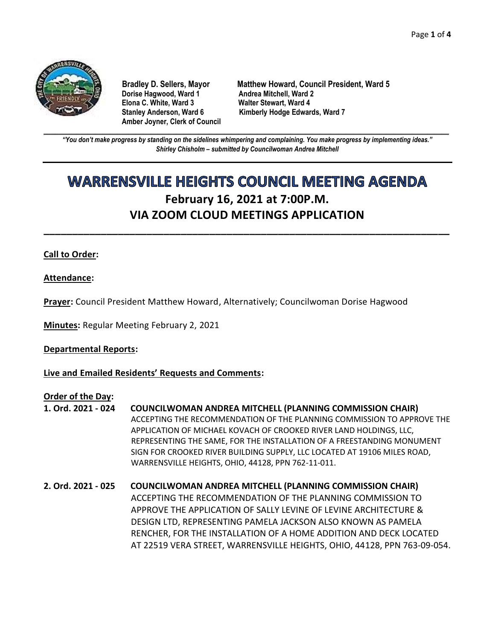

**Dorise Hagwood, Ward 1 Elona C. White, Ward 3 Walter Stewart, Ward 4 Amber Joyner, Clerk of Council**

**Bradley D. Sellers, Mayor Matthew Howard, Council President, Ward 5** Stanley Anderson, Ward 6 Kimberly Hodge Edwards, Ward 7

**\_\_\_\_\_\_\_\_\_\_\_\_\_\_\_\_\_\_\_\_\_\_\_\_\_\_\_\_\_\_\_\_\_\_\_\_\_\_\_\_\_\_\_\_\_\_\_\_\_\_\_\_\_\_\_\_\_\_\_\_\_\_\_\_\_\_\_\_\_\_\_\_\_\_\_\_\_\_\_\_\_\_\_\_\_\_\_\_\_\_\_\_\_\_\_\_\_\_\_\_\_\_\_\_\_\_\_\_\_\_** *"You don't make progress by standing on the sidelines whimpering and complaining. You make progress by implementing ideas." Shirley Chisholm – submitted by Councilwoman Andrea Mitchell*

# **WARRENSVILLE HEIGHTS COUNCIL MEETING AGENDA February 16, 2021 at 7:00P.M. VIA ZOOM CLOUD MEETINGS APPLICATION**

**\_\_\_\_\_\_\_\_\_\_\_\_\_\_\_\_\_\_\_\_\_\_\_\_\_\_\_\_\_\_\_\_\_\_\_\_\_\_\_\_\_\_\_\_\_\_\_\_\_\_\_\_\_\_\_\_\_\_\_\_\_\_\_\_\_\_\_\_\_\_\_**

# **Call to Order:**

**Attendance:**

**Prayer:** Council President Matthew Howard, Alternatively; Councilwoman Dorise Hagwood

**Minutes:** Regular Meeting February 2, 2021

#### **Departmental Reports:**

**Live and Emailed Residents' Requests and Comments:**

#### **Order of the Day:**

- **1. Ord. 2021 - 024 COUNCILWOMAN ANDREA MITCHELL (PLANNING COMMISSION CHAIR)** ACCEPTING THE RECOMMENDATION OF THE PLANNING COMMISSION TO APPROVE THE APPLICATION OF MICHAEL KOVACH OF CROOKED RIVER LAND HOLDINGS, LLC, REPRESENTING THE SAME, FOR THE INSTALLATION OF A FREESTANDING MONUMENT SIGN FOR CROOKED RIVER BUILDING SUPPLY, LLC LOCATED AT 19106 MILES ROAD, WARRENSVILLE HEIGHTS, OHIO, 44128, PPN 762-11-011.
- **2. Ord. 2021 - 025 COUNCILWOMAN ANDREA MITCHELL (PLANNING COMMISSION CHAIR)** ACCEPTING THE RECOMMENDATION OF THE PLANNING COMMISSION TO APPROVE THE APPLICATION OF SALLY LEVINE OF LEVINE ARCHITECTURE & DESIGN LTD, REPRESENTING PAMELA JACKSON ALSO KNOWN AS PAMELA RENCHER, FOR THE INSTALLATION OF A HOME ADDITION AND DECK LOCATED AT 22519 VERA STREET, WARRENSVILLE HEIGHTS, OHIO, 44128, PPN 763-09-054.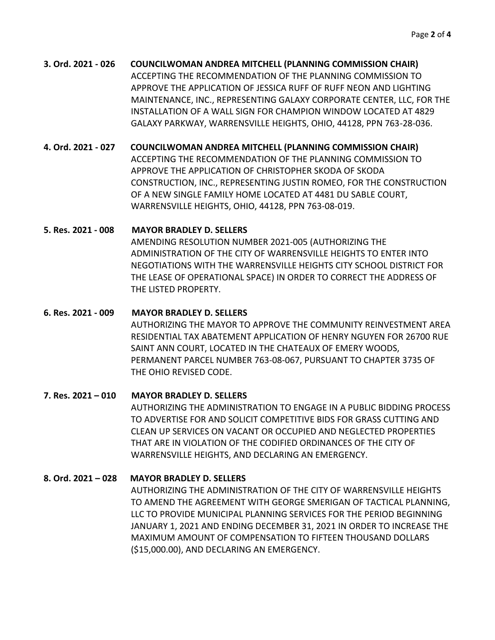**3. Ord. 2021 - 026 COUNCILWOMAN ANDREA MITCHELL (PLANNING COMMISSION CHAIR)** ACCEPTING THE RECOMMENDATION OF THE PLANNING COMMISSION TO APPROVE THE APPLICATION OF JESSICA RUFF OF RUFF NEON AND LIGHTING MAINTENANCE, INC., REPRESENTING GALAXY CORPORATE CENTER, LLC, FOR THE INSTALLATION OF A WALL SIGN FOR CHAMPION WINDOW LOCATED AT 4829 GALAXY PARKWAY, WARRENSVILLE HEIGHTS, OHIO, 44128, PPN 763-28-036.

**4. Ord. 2021 - 027 COUNCILWOMAN ANDREA MITCHELL (PLANNING COMMISSION CHAIR)**

ACCEPTING THE RECOMMENDATION OF THE PLANNING COMMISSION TO APPROVE THE APPLICATION OF CHRISTOPHER SKODA OF SKODA CONSTRUCTION, INC., REPRESENTING JUSTIN ROMEO, FOR THE CONSTRUCTION OF A NEW SINGLE FAMILY HOME LOCATED AT 4481 DU SABLE COURT, WARRENSVILLE HEIGHTS, OHIO, 44128, PPN 763-08-019.

# **5. Res. 2021 - 008 MAYOR BRADLEY D. SELLERS**

AMENDING RESOLUTION NUMBER 2021-005 (AUTHORIZING THE ADMINISTRATION OF THE CITY OF WARRENSVILLE HEIGHTS TO ENTER INTO NEGOTIATIONS WITH THE WARRENSVILLE HEIGHTS CITY SCHOOL DISTRICT FOR THE LEASE OF OPERATIONAL SPACE) IN ORDER TO CORRECT THE ADDRESS OF THE LISTED PROPERTY.

# **6. Res. 2021 - 009 MAYOR BRADLEY D. SELLERS**

AUTHORIZING THE MAYOR TO APPROVE THE COMMUNITY REINVESTMENT AREA RESIDENTIAL TAX ABATEMENT APPLICATION OF HENRY NGUYEN FOR 26700 RUE SAINT ANN COURT, LOCATED IN THE CHATEAUX OF EMERY WOODS, PERMANENT PARCEL NUMBER 763-08-067, PURSUANT TO CHAPTER 3735 OF THE OHIO REVISED CODE.

# **7. Res. 2021 – 010 MAYOR BRADLEY D. SELLERS**

AUTHORIZING THE ADMINISTRATION TO ENGAGE IN A PUBLIC BIDDING PROCESS TO ADVERTISE FOR AND SOLICIT COMPETITIVE BIDS FOR GRASS CUTTING AND CLEAN UP SERVICES ON VACANT OR OCCUPIED AND NEGLECTED PROPERTIES THAT ARE IN VIOLATION OF THE CODIFIED ORDINANCES OF THE CITY OF WARRENSVILLE HEIGHTS, AND DECLARING AN EMERGENCY.

# **8. Ord. 2021 – 028 MAYOR BRADLEY D. SELLERS**

AUTHORIZING THE ADMINISTRATION OF THE CITY OF WARRENSVILLE HEIGHTS TO AMEND THE AGREEMENT WITH GEORGE SMERIGAN OF TACTICAL PLANNING, LLC TO PROVIDE MUNICIPAL PLANNING SERVICES FOR THE PERIOD BEGINNING JANUARY 1, 2021 AND ENDING DECEMBER 31, 2021 IN ORDER TO INCREASE THE MAXIMUM AMOUNT OF COMPENSATION TO FIFTEEN THOUSAND DOLLARS (\$15,000.00), AND DECLARING AN EMERGENCY.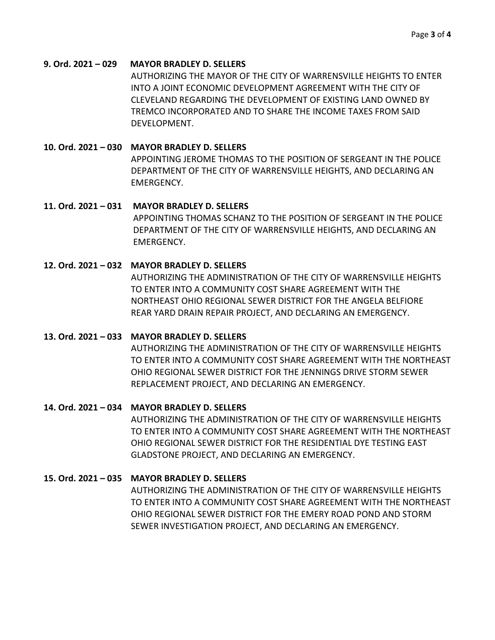#### **9. Ord. 2021 – 029 MAYOR BRADLEY D. SELLERS**

AUTHORIZING THE MAYOR OF THE CITY OF WARRENSVILLE HEIGHTS TO ENTER INTO A JOINT ECONOMIC DEVELOPMENT AGREEMENT WITH THE CITY OF CLEVELAND REGARDING THE DEVELOPMENT OF EXISTING LAND OWNED BY TREMCO INCORPORATED AND TO SHARE THE INCOME TAXES FROM SAID DEVELOPMENT.

### **10. Ord. 2021 – 030 MAYOR BRADLEY D. SELLERS**

APPOINTING JEROME THOMAS TO THE POSITION OF SERGEANT IN THE POLICE DEPARTMENT OF THE CITY OF WARRENSVILLE HEIGHTS, AND DECLARING AN EMERGENCY.

#### **11. Ord. 2021 – 031 MAYOR BRADLEY D. SELLERS**

APPOINTING THOMAS SCHANZ TO THE POSITION OF SERGEANT IN THE POLICE DEPARTMENT OF THE CITY OF WARRENSVILLE HEIGHTS, AND DECLARING AN EMERGENCY.

#### **12. Ord. 2021 – 032 MAYOR BRADLEY D. SELLERS**

AUTHORIZING THE ADMINISTRATION OF THE CITY OF WARRENSVILLE HEIGHTS TO ENTER INTO A COMMUNITY COST SHARE AGREEMENT WITH THE NORTHEAST OHIO REGIONAL SEWER DISTRICT FOR THE ANGELA BELFIORE REAR YARD DRAIN REPAIR PROJECT, AND DECLARING AN EMERGENCY.

#### **13. Ord. 2021 – 033 MAYOR BRADLEY D. SELLERS**

AUTHORIZING THE ADMINISTRATION OF THE CITY OF WARRENSVILLE HEIGHTS TO ENTER INTO A COMMUNITY COST SHARE AGREEMENT WITH THE NORTHEAST OHIO REGIONAL SEWER DISTRICT FOR THE JENNINGS DRIVE STORM SEWER REPLACEMENT PROJECT, AND DECLARING AN EMERGENCY.

## **14. Ord. 2021 – 034 MAYOR BRADLEY D. SELLERS**

AUTHORIZING THE ADMINISTRATION OF THE CITY OF WARRENSVILLE HEIGHTS TO ENTER INTO A COMMUNITY COST SHARE AGREEMENT WITH THE NORTHEAST OHIO REGIONAL SEWER DISTRICT FOR THE RESIDENTIAL DYE TESTING EAST GLADSTONE PROJECT, AND DECLARING AN EMERGENCY.

## **15. Ord. 2021 – 035 MAYOR BRADLEY D. SELLERS**

AUTHORIZING THE ADMINISTRATION OF THE CITY OF WARRENSVILLE HEIGHTS TO ENTER INTO A COMMUNITY COST SHARE AGREEMENT WITH THE NORTHEAST OHIO REGIONAL SEWER DISTRICT FOR THE EMERY ROAD POND AND STORM SEWER INVESTIGATION PROJECT, AND DECLARING AN EMERGENCY.